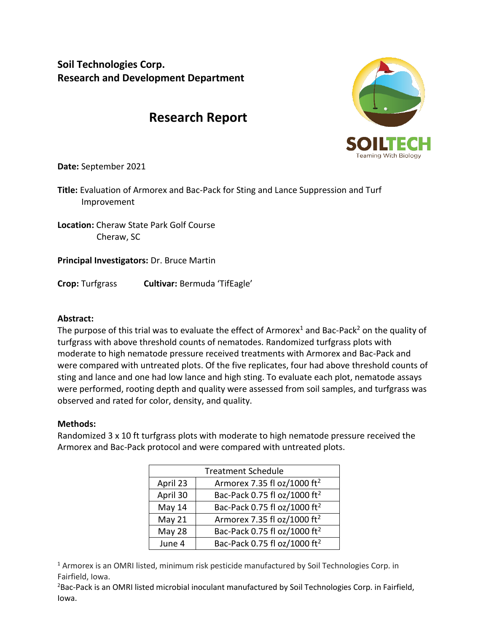**Soil Technologies Corp. Research and Development Department**

# **Research Report**



**Date:** September 2021

**Title:** Evaluation of Armorex and Bac-Pack for Sting and Lance Suppression and Turf Improvement

**Location:** Cheraw State Park Golf Course Cheraw, SC

**Principal Investigators:** Dr. Bruce Martin

**Crop:** Turfgrass **Cultivar:** Bermuda 'TifEagle'

#### **Abstract:**

The purpose of this trial was to evaluate the effect of Armorex<sup>1</sup> and Bac-Pack<sup>2</sup> on the quality of turfgrass with above threshold counts of nematodes. Randomized turfgrass plots with moderate to high nematode pressure received treatments with Armorex and Bac-Pack and were compared with untreated plots. Of the five replicates, four had above threshold counts of sting and lance and one had low lance and high sting. To evaluate each plot, nematode assays were performed, rooting depth and quality were assessed from soil samples, and turfgrass was observed and rated for color, density, and quality.

#### **Methods:**

Randomized 3 x 10 ft turfgrass plots with moderate to high nematode pressure received the Armorex and Bac-Pack protocol and were compared with untreated plots.

| <b>Treatment Schedule</b> |                                          |
|---------------------------|------------------------------------------|
| April 23                  | Armorex 7.35 fl oz/1000 ft <sup>2</sup>  |
| April 30                  | Bac-Pack 0.75 fl oz/1000 ft <sup>2</sup> |
| May 14                    | Bac-Pack 0.75 fl oz/1000 ft <sup>2</sup> |
| May 21                    | Armorex 7.35 fl oz/1000 ft <sup>2</sup>  |
| May 28                    | Bac-Pack 0.75 fl oz/1000 ft <sup>2</sup> |
| June 4                    | Bac-Pack 0.75 fl oz/1000 ft <sup>2</sup> |

<sup>1</sup> Armorex is an OMRI listed, minimum risk pesticide manufactured by Soil Technologies Corp. in Fairfield, Iowa.

<sup>2</sup>Bac-Pack is an OMRI listed microbial inoculant manufactured by Soil Technologies Corp. in Fairfield, Iowa.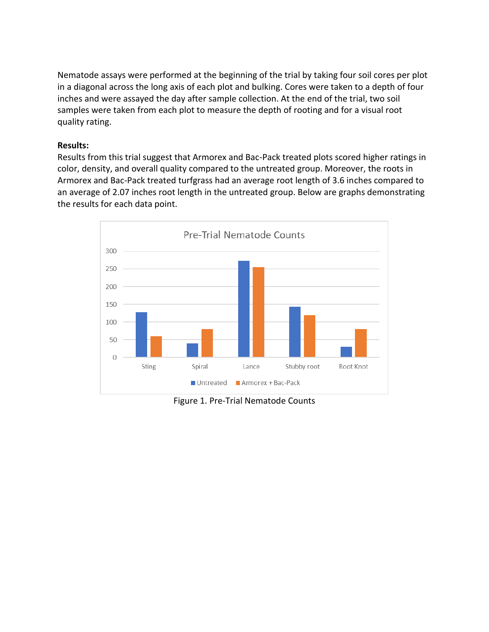Nematode assays were performed at the beginning of the trial by taking four soil cores per plot in a diagonal across the long axis of each plot and bulking. Cores were taken to a depth of four inches and were assayed the day after sample collection. At the end of the trial, two soil samples were taken from each plot to measure the depth of rooting and for a visual root quality rating.

## **Results:**

Results from this trial suggest that Armorex and Bac-Pack treated plots scored higher ratings in color, density, and overall quality compared to the untreated group. Moreover, the roots in Armorex and Bac-Pack treated turfgrass had an average root length of 3.6 inches compared to an average of 2.07 inches root length in the untreated group. Below are graphs demonstrating the results for each data point.



Figure 1. Pre-Trial Nematode Counts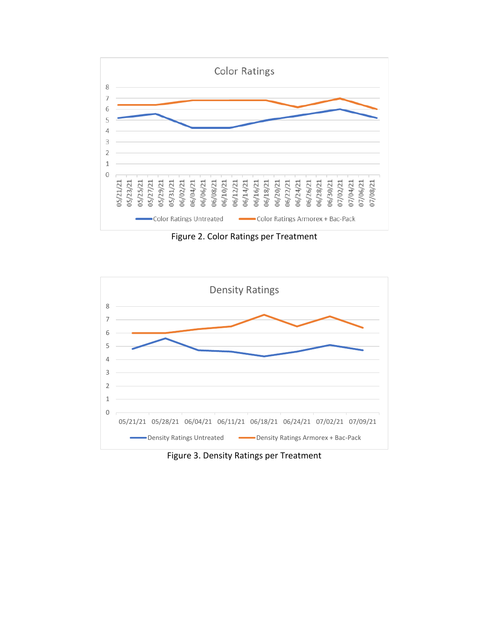

Figure 2. Color Ratings per Treatment



Figure 3. Density Ratings per Treatment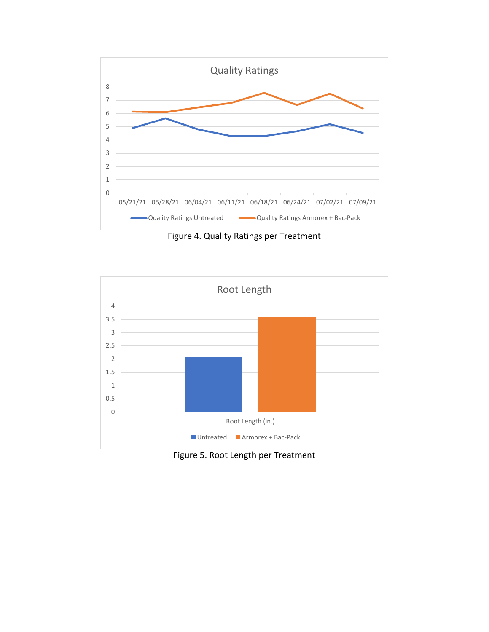

Figure 4. Quality Ratings per Treatment



Figure 5. Root Length per Treatment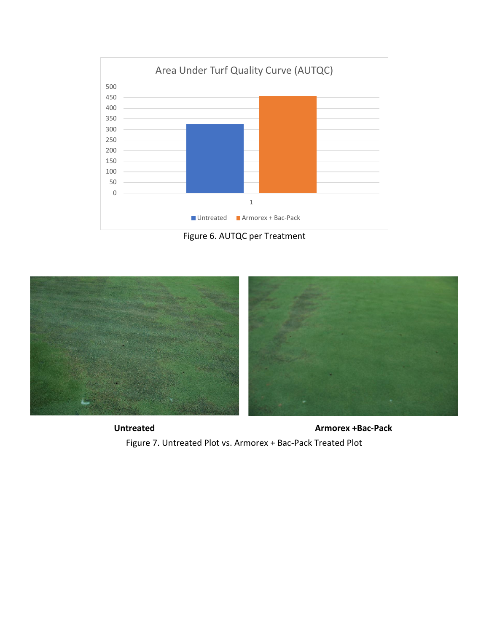





**Untreated Armorex +Bac-Pack** Figure 7. Untreated Plot vs. Armorex + Bac-Pack Treated Plot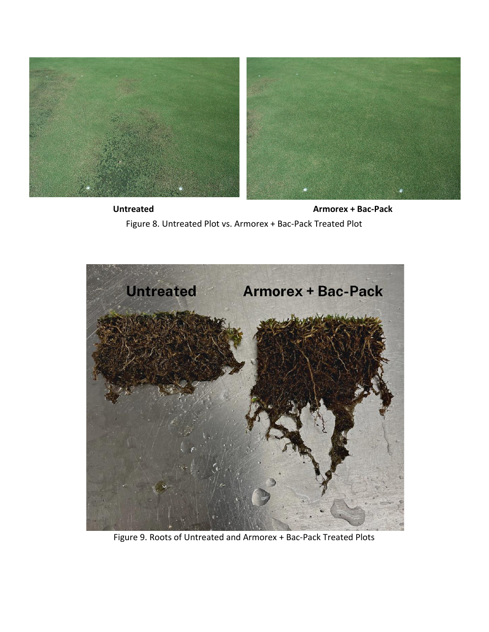

**Untreated Armorex + Bac-Pack** Figure 8. Untreated Plot vs. Armorex + Bac-Pack Treated Plot



Figure 9. Roots of Untreated and Armorex + Bac-Pack Treated Plots